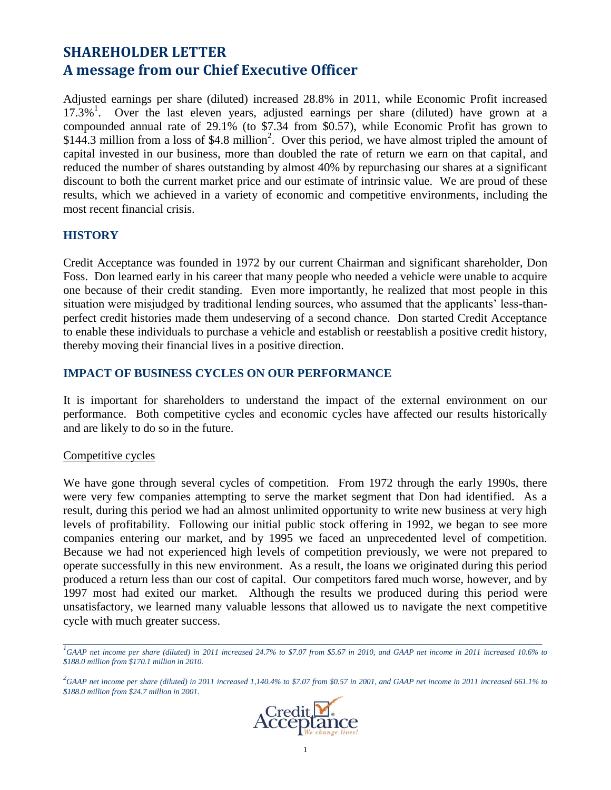# **SHAREHOLDER LETTER A message from our Chief Executive Officer**

Adjusted earnings per share (diluted) increased 28.8% in 2011, while Economic Profit increased 17.3%<sup>1</sup>. Over the last eleven years, adjusted earnings per share (diluted) have grown at a compounded annual rate of 29.1% (to \$7.34 from \$0.57), while Economic Profit has grown to \$144.3 million from a loss of \$4.8 million<sup>2</sup>. Over this period, we have almost tripled the amount of capital invested in our business, more than doubled the rate of return we earn on that capital, and reduced the number of shares outstanding by almost 40% by repurchasing our shares at a significant discount to both the current market price and our estimate of intrinsic value. We are proud of these results, which we achieved in a variety of economic and competitive environments, including the most recent financial crisis.

### **HISTORY**

Credit Acceptance was founded in 1972 by our current Chairman and significant shareholder, Don Foss. Don learned early in his career that many people who needed a vehicle were unable to acquire one because of their credit standing. Even more importantly, he realized that most people in this situation were misjudged by traditional lending sources, who assumed that the applicants' less-thanperfect credit histories made them undeserving of a second chance. Don started Credit Acceptance to enable these individuals to purchase a vehicle and establish or reestablish a positive credit history, thereby moving their financial lives in a positive direction.

### **IMPACT OF BUSINESS CYCLES ON OUR PERFORMANCE**

It is important for shareholders to understand the impact of the external environment on our performance. Both competitive cycles and economic cycles have affected our results historically and are likely to do so in the future.

### Competitive cycles

We have gone through several cycles of competition. From 1972 through the early 1990s, there were very few companies attempting to serve the market segment that Don had identified. As a result, during this period we had an almost unlimited opportunity to write new business at very high levels of profitability. Following our initial public stock offering in 1992, we began to see more companies entering our market, and by 1995 we faced an unprecedented level of competition. Because we had not experienced high levels of competition previously, we were not prepared to operate successfully in this new environment. As a result, the loans we originated during this period produced a return less than our cost of capital. Our competitors fared much worse, however, and by 1997 most had exited our market. Although the results we produced during this period were unsatisfactory, we learned many valuable lessons that allowed us to navigate the next competitive cycle with much greater success.

*<sup>2</sup> GAAP net income per share (diluted) in 2011 increased 1,140.4% to \$7.07 from \$0.57 in 2001, and GAAP net income in 2011 increased 661.1% to \$188.0 million from \$24.7 million in 2001.*



*\_\_\_\_\_\_\_\_\_\_\_\_\_\_\_\_\_\_\_\_\_\_\_\_\_\_\_\_\_\_\_\_\_\_\_\_\_\_\_\_\_\_\_\_\_\_\_\_\_\_\_\_\_\_\_\_\_\_\_\_\_\_\_\_\_\_\_\_\_\_\_\_\_\_\_\_\_\_\_\_\_\_\_\_\_\_\_\_\_\_\_\_\_\_\_\_\_\_\_\_\_\_\_\_\_\_\_\_\_\_\_\_\_\_\_\_\_\_\_\_ 1 GAAP net income per share (diluted) in 2011 increased 24.7% to \$7.07 from \$5.67 in 2010, and GAAP net income in 2011 increased 10.6% to \$188.0 million from \$170.1 million in 2010.*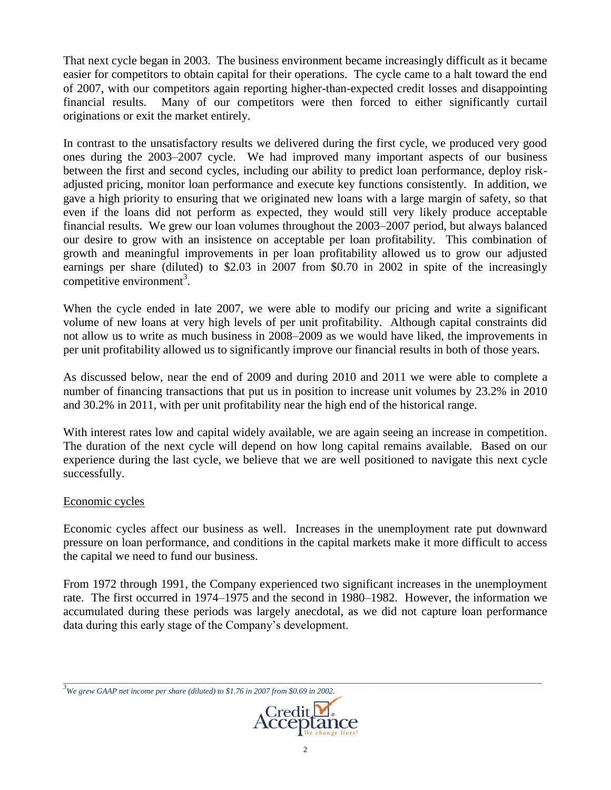That next cycle began in 2003. The business environment became increasingly difficult as it became easier for competitors to obtain capital for their operations. The cycle came to a halt toward the end of 2007, with our competitors again reporting higher-than-expected credit losses and disappointing financial results. Many of our competitors were then forced to either significantly curtail originations or exit the market entirely.

In contrast to the unsatisfactory results we delivered during the first cycle, we produced very good ones during the 2003–2007 cycle. We had improved many important aspects of our business between the first and second cycles, including our ability to predict loan performance, deploy riskadjusted pricing, monitor loan performance and execute key functions consistently. In addition, we gave a high priority to ensuring that we originated new loans with a large margin of safety, so that even if the loans did not perform as expected, they would still very likely produce acceptable financial results. We grew our loan volumes throughout the 2003–2007 period, but always balanced our desire to grow with an insistence on acceptable per loan profitability. This combination of growth and meaningful improvements in per loan profitability allowed us to grow our adjusted earnings per share (diluted) to \$2.03 in 2007 from \$0.70 in 2002 in spite of the increasingly competitive environment<sup>3</sup>.

When the cycle ended in late 2007, we were able to modify our pricing and write a significant volume of new loans at very high levels of per unit profitability. Although capital constraints did not allow us to write as much business in 2008–2009 as we would have liked, the improvements in per unit profitability allowed us to significantly improve our financial results in both of those years.

As discussed below, near the end of 2009 and during 2010 and 2011 we were able to complete a number of financing transactions that put us in position to increase unit volumes by 23.2% in 2010 and 30.2% in 2011, with per unit profitability near the high end of the historical range.

With interest rates low and capital widely available, we are again seeing an increase in competition. The duration of the next cycle will depend on how long capital remains available. Based on our experience during the last cycle, we believe that we are well positioned to navigate this next cycle successfully.

### Economic cycles

Economic cycles affect our business as well. Increases in the unemployment rate put downward pressure on loan performance, and conditions in the capital markets make it more difficult to access the capital we need to fund our business.

From 1972 through 1991, the Company experienced two significant increases in the unemployment rate. The first occurred in 1974–1975 and the second in 1980–1982. However, the information we accumulated during these periods was largely anecdotal, as we did not capture loan performance data during this early stage of the Company's development.

*<sup>3</sup>We grew GAAP net income per share (diluted) to \$1.76 in 2007 from \$0.69 in 2002.*



*\_\_\_\_\_\_\_\_\_\_\_\_\_\_\_\_\_\_\_\_\_\_\_\_\_\_\_\_\_\_\_\_\_\_\_\_\_\_\_\_\_\_\_\_\_\_\_\_\_\_\_\_\_\_\_\_\_\_\_\_\_\_\_\_\_\_\_\_\_\_\_\_\_\_\_\_\_\_\_\_\_\_\_\_\_\_\_\_\_\_\_\_\_\_\_\_\_\_\_\_\_\_\_\_\_\_\_\_\_\_\_\_\_\_\_\_\_\_\_\_*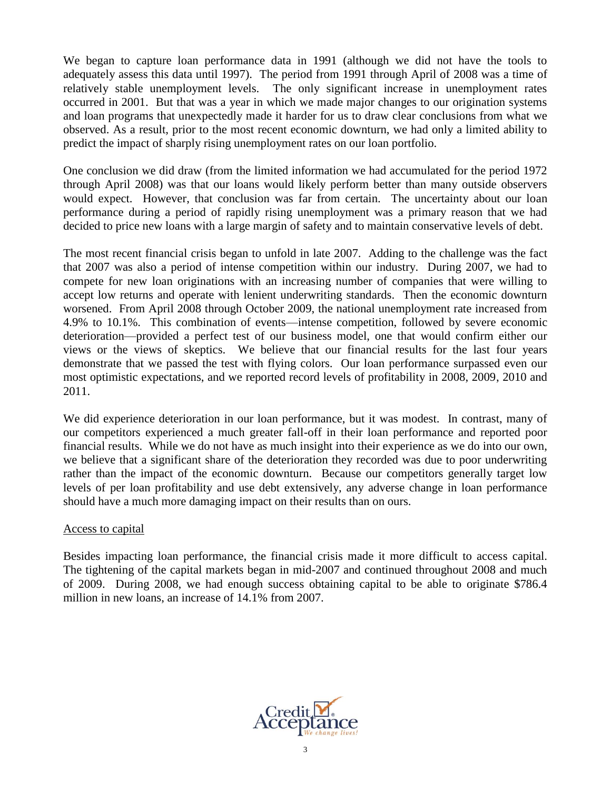We began to capture loan performance data in 1991 (although we did not have the tools to adequately assess this data until 1997). The period from 1991 through April of 2008 was a time of relatively stable unemployment levels. The only significant increase in unemployment rates occurred in 2001. But that was a year in which we made major changes to our origination systems and loan programs that unexpectedly made it harder for us to draw clear conclusions from what we observed. As a result, prior to the most recent economic downturn, we had only a limited ability to predict the impact of sharply rising unemployment rates on our loan portfolio.

One conclusion we did draw (from the limited information we had accumulated for the period 1972 through April 2008) was that our loans would likely perform better than many outside observers would expect. However, that conclusion was far from certain. The uncertainty about our loan performance during a period of rapidly rising unemployment was a primary reason that we had decided to price new loans with a large margin of safety and to maintain conservative levels of debt.

The most recent financial crisis began to unfold in late 2007. Adding to the challenge was the fact that 2007 was also a period of intense competition within our industry. During 2007, we had to compete for new loan originations with an increasing number of companies that were willing to accept low returns and operate with lenient underwriting standards. Then the economic downturn worsened. From April 2008 through October 2009, the national unemployment rate increased from 4.9% to 10.1%. This combination of events—intense competition, followed by severe economic deterioration—provided a perfect test of our business model, one that would confirm either our views or the views of skeptics. We believe that our financial results for the last four years demonstrate that we passed the test with flying colors. Our loan performance surpassed even our most optimistic expectations, and we reported record levels of profitability in 2008, 2009, 2010 and 2011.

We did experience deterioration in our loan performance, but it was modest. In contrast, many of our competitors experienced a much greater fall-off in their loan performance and reported poor financial results. While we do not have as much insight into their experience as we do into our own, we believe that a significant share of the deterioration they recorded was due to poor underwriting rather than the impact of the economic downturn. Because our competitors generally target low levels of per loan profitability and use debt extensively, any adverse change in loan performance should have a much more damaging impact on their results than on ours.

### Access to capital

Besides impacting loan performance, the financial crisis made it more difficult to access capital. The tightening of the capital markets began in mid-2007 and continued throughout 2008 and much of 2009. During 2008, we had enough success obtaining capital to be able to originate \$786.4 million in new loans, an increase of 14.1% from 2007.

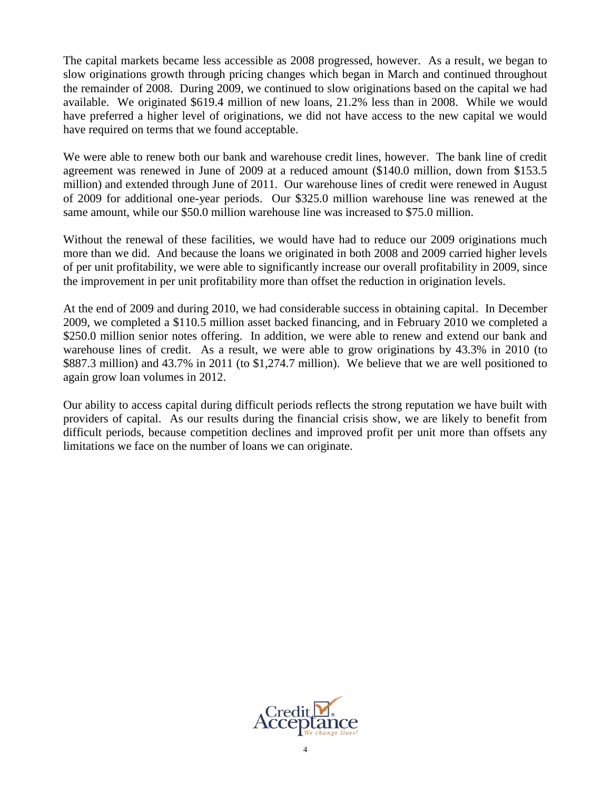The capital markets became less accessible as 2008 progressed, however. As a result, we began to slow originations growth through pricing changes which began in March and continued throughout the remainder of 2008. During 2009, we continued to slow originations based on the capital we had available. We originated \$619.4 million of new loans, 21.2% less than in 2008. While we would have preferred a higher level of originations, we did not have access to the new capital we would have required on terms that we found acceptable.

We were able to renew both our bank and warehouse credit lines, however. The bank line of credit agreement was renewed in June of 2009 at a reduced amount (\$140.0 million, down from \$153.5 million) and extended through June of 2011. Our warehouse lines of credit were renewed in August of 2009 for additional one-year periods. Our \$325.0 million warehouse line was renewed at the same amount, while our \$50.0 million warehouse line was increased to \$75.0 million.

Without the renewal of these facilities, we would have had to reduce our 2009 originations much more than we did. And because the loans we originated in both 2008 and 2009 carried higher levels of per unit profitability, we were able to significantly increase our overall profitability in 2009, since the improvement in per unit profitability more than offset the reduction in origination levels.

At the end of 2009 and during 2010, we had considerable success in obtaining capital. In December 2009, we completed a \$110.5 million asset backed financing, and in February 2010 we completed a \$250.0 million senior notes offering. In addition, we were able to renew and extend our bank and warehouse lines of credit. As a result, we were able to grow originations by 43.3% in 2010 (to \$887.3 million) and 43.7% in 2011 (to \$1,274.7 million). We believe that we are well positioned to again grow loan volumes in 2012.

Our ability to access capital during difficult periods reflects the strong reputation we have built with providers of capital. As our results during the financial crisis show, we are likely to benefit from difficult periods, because competition declines and improved profit per unit more than offsets any limitations we face on the number of loans we can originate.

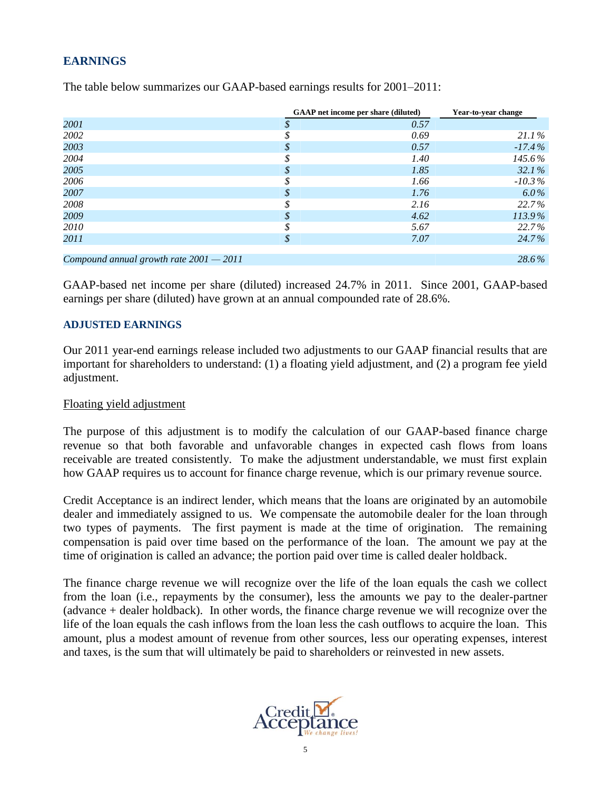## **EARNINGS**

|                                           |    | <b>GAAP</b> net income per share (diluted) | Year-to-year change |
|-------------------------------------------|----|--------------------------------------------|---------------------|
| 2001                                      | S  | 0.57                                       |                     |
| 2002                                      |    | 0.69                                       | $21.1\%$            |
| 2003                                      | \$ | 0.57                                       | $-17.4\%$           |
| 2004                                      |    | 1.40                                       | 145.6%              |
| 2005                                      | \$ | 1.85                                       | $32.1\%$            |
| 2006                                      | \$ | 1.66                                       | $-10.3\%$           |
| 2007                                      | \$ | 1.76                                       | $6.0\%$             |
| 2008                                      | \$ | 2.16                                       | 22.7%               |
| 2009                                      | \$ | 4.62                                       | 113.9%              |
| 2010                                      | \$ | 5.67                                       | 22.7%               |
| 2011                                      | \$ | 7.07                                       | 24.7%               |
|                                           |    |                                            |                     |
| Compound annual growth rate $2001 - 2011$ |    |                                            | 28.6%               |

The table below summarizes our GAAP-based earnings results for 2001–2011:

GAAP-based net income per share (diluted) increased 24.7% in 2011. Since 2001, GAAP-based earnings per share (diluted) have grown at an annual compounded rate of 28.6%.

### **ADJUSTED EARNINGS**

Our 2011 year-end earnings release included two adjustments to our GAAP financial results that are important for shareholders to understand: (1) a floating yield adjustment, and (2) a program fee yield adjustment.

### Floating yield adjustment

The purpose of this adjustment is to modify the calculation of our GAAP-based finance charge revenue so that both favorable and unfavorable changes in expected cash flows from loans receivable are treated consistently. To make the adjustment understandable, we must first explain how GAAP requires us to account for finance charge revenue, which is our primary revenue source.

Credit Acceptance is an indirect lender, which means that the loans are originated by an automobile dealer and immediately assigned to us. We compensate the automobile dealer for the loan through two types of payments. The first payment is made at the time of origination. The remaining compensation is paid over time based on the performance of the loan. The amount we pay at the time of origination is called an advance; the portion paid over time is called dealer holdback.

The finance charge revenue we will recognize over the life of the loan equals the cash we collect from the loan (i.e., repayments by the consumer), less the amounts we pay to the dealer-partner (advance + dealer holdback). In other words, the finance charge revenue we will recognize over the life of the loan equals the cash inflows from the loan less the cash outflows to acquire the loan. This amount, plus a modest amount of revenue from other sources, less our operating expenses, interest and taxes, is the sum that will ultimately be paid to shareholders or reinvested in new assets.

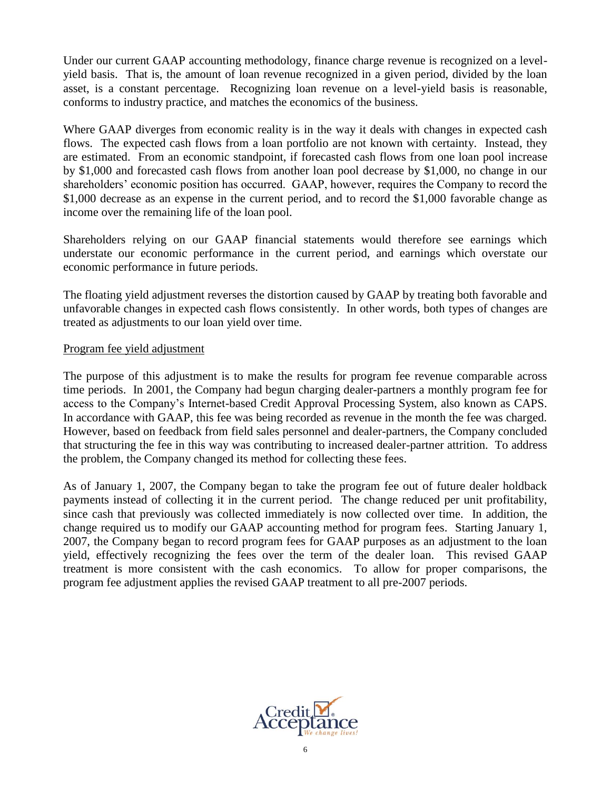Under our current GAAP accounting methodology, finance charge revenue is recognized on a levelyield basis. That is, the amount of loan revenue recognized in a given period, divided by the loan asset, is a constant percentage. Recognizing loan revenue on a level-yield basis is reasonable, conforms to industry practice, and matches the economics of the business.

Where GAAP diverges from economic reality is in the way it deals with changes in expected cash flows. The expected cash flows from a loan portfolio are not known with certainty. Instead, they are estimated. From an economic standpoint, if forecasted cash flows from one loan pool increase by \$1,000 and forecasted cash flows from another loan pool decrease by \$1,000, no change in our shareholders' economic position has occurred. GAAP, however, requires the Company to record the \$1,000 decrease as an expense in the current period, and to record the \$1,000 favorable change as income over the remaining life of the loan pool.

Shareholders relying on our GAAP financial statements would therefore see earnings which understate our economic performance in the current period, and earnings which overstate our economic performance in future periods.

The floating yield adjustment reverses the distortion caused by GAAP by treating both favorable and unfavorable changes in expected cash flows consistently. In other words, both types of changes are treated as adjustments to our loan yield over time.

### Program fee yield adjustment

The purpose of this adjustment is to make the results for program fee revenue comparable across time periods. In 2001, the Company had begun charging dealer-partners a monthly program fee for access to the Company's Internet-based Credit Approval Processing System, also known as CAPS. In accordance with GAAP, this fee was being recorded as revenue in the month the fee was charged. However, based on feedback from field sales personnel and dealer-partners, the Company concluded that structuring the fee in this way was contributing to increased dealer-partner attrition. To address the problem, the Company changed its method for collecting these fees.

As of January 1, 2007, the Company began to take the program fee out of future dealer holdback payments instead of collecting it in the current period. The change reduced per unit profitability, since cash that previously was collected immediately is now collected over time. In addition, the change required us to modify our GAAP accounting method for program fees. Starting January 1, 2007, the Company began to record program fees for GAAP purposes as an adjustment to the loan yield, effectively recognizing the fees over the term of the dealer loan. This revised GAAP treatment is more consistent with the cash economics. To allow for proper comparisons, the program fee adjustment applies the revised GAAP treatment to all pre-2007 periods.

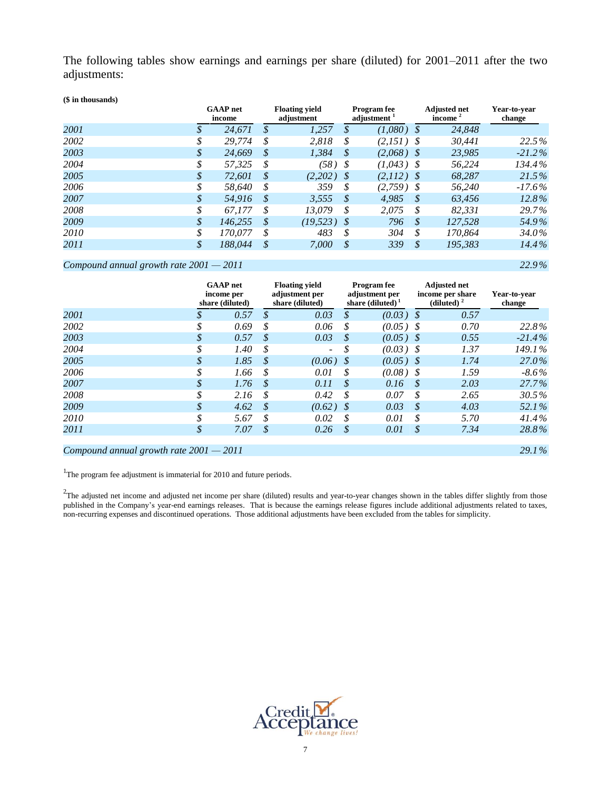The following tables show earnings and earnings per share (diluted) for 2001–2011 after the two adjustments:

| (\$ in thousands) |               |                           |    |                                     |                                               |              |                            |                                   |                        |
|-------------------|---------------|---------------------------|----|-------------------------------------|-----------------------------------------------|--------------|----------------------------|-----------------------------------|------------------------|
|                   |               | <b>GAAP</b> net<br>income |    | <b>Floating yield</b><br>adjustment | <b>Program</b> fee<br>adjustment <sup>1</sup> |              |                            | <b>Adjusted net</b><br>income $2$ | Year-to-year<br>change |
| 2001              | \$            | 24.671                    | \$ | 1,257                               | \$                                            | $(1,080)$ \$ |                            | 24,848                            |                        |
| 2002              | \$            | 29,774                    | \$ | 2.818                               | \$                                            | $(2.151)$ \$ |                            | 30.441                            | 22.5%                  |
| 2003              | S             | 24.669                    | S  | 1.384                               | S                                             | $(2.068)$ \$ |                            | 23.985                            | $-21.2\%$              |
| 2004              | \$            | 57.325                    | \$ | (58) \$                             |                                               | $(1,043)$ \$ |                            | 56,224                            | $134.4\%$              |
| 2005              | \$            | 72.601                    | \$ | (2,202)                             | -8                                            | $(2,112)$ \$ |                            | 68.287                            | 21.5%                  |
| 2006              | S             | 58.640                    | S  | 359                                 | S                                             | $(2.759)$ \$ |                            | 56,240                            | $-17.6\%$              |
| 2007              | \$            | 54.916                    | \$ | 3.555                               | \$                                            | 4.985        | \$                         | 63.456                            | $12.8\%$               |
| 2008              | \$            | 67.177                    | \$ | 13.079                              | \$                                            | 2.075        | \$                         | 82.331                            | 29.7%                  |
| 2009              | $\mathcal{S}$ | 146.255                   | S  | (19.523)                            | -8                                            | 796          | \$                         | 127.528                           | 54.9%                  |
| 2010              | \$            | 170.077                   | \$ | 483                                 | \$                                            | 304          | \$                         | 170.864                           | 34.0%                  |
| 2011              | \$            | 188.044                   | \$ | 7.000                               | $\mathcal{S}$                                 | 339          | $\boldsymbol{\mathcal{S}}$ | 195.383                           | $14.4\%$               |

### *Compound annual growth rate 2001 — 2011 22.9 %*

|      | <b>GAAP</b> net<br>income per<br>share (diluted) |               | <b>Floating yield</b><br>adjustment per<br>share (diluted) |                   | <b>Program</b> fee<br>adjustment per<br>share $(diluted)^1$ |                            | <b>Adjusted net</b><br>income per share<br>(diluted) $2$ | Year-to-year<br>change |
|------|--------------------------------------------------|---------------|------------------------------------------------------------|-------------------|-------------------------------------------------------------|----------------------------|----------------------------------------------------------|------------------------|
| 2001 | \$<br>0.57                                       | $\mathcal{S}$ | 0.03                                                       | \$                | (0.03)                                                      | - \$                       | 0.57                                                     |                        |
| 2002 | \$<br>0.69                                       | \$            | 0.06                                                       | \$                | $(0.05)$ \$                                                 |                            | 0.70                                                     | 22.8%                  |
| 2003 | \$<br>0.57                                       | \$            | 0.03                                                       | \$                | $(0.05)$ \$                                                 |                            | 0.55                                                     | $-21.4\%$              |
| 2004 | \$<br>1.40                                       | \$            | $\overline{\phantom{a}}$                                   | \$                | $(0.03)$ \$                                                 |                            | 1.37                                                     | 149.1%                 |
| 2005 | \$<br>1.85                                       | \$            | (0.06)                                                     | - S               | $(0.05)$ \$                                                 |                            | 1.74                                                     | 27.0%                  |
| 2006 | \$<br>1.66                                       | \$            | 0.01                                                       | \$                | $(0.08)$ \$                                                 |                            | 1.59                                                     | $-8.6\%$               |
| 2007 | \$<br>1.76                                       | \$            | 0.11                                                       | \$                | 0.16                                                        | \$                         | 2.03                                                     | 27.7%                  |
| 2008 | \$<br>2.16                                       | \$            | 0.42                                                       | \$                | 0.07                                                        | \$                         | 2.65                                                     | 30.5%                  |
| 2009 | \$<br>4.62                                       | \$            | (0.62)                                                     | - \$              | 0.03                                                        | \$                         | 4.03                                                     | 52.1%                  |
| 2010 | \$<br>5.67                                       | \$            | 0.02                                                       | \$                | 0.01                                                        | \$                         | 5.70                                                     | 41.4%                  |
| 2011 | \$<br>7.07                                       | \$            | 0.26                                                       | $\mathcal{S}_{0}$ | 0.01                                                        | $\boldsymbol{\mathcal{S}}$ | 7.34                                                     | 28.8%                  |
|      |                                                  |               |                                                            |                   |                                                             |                            |                                                          |                        |

#### *Compound annual growth rate 2001 — 2011 29.1 %*

<sup>1</sup>The program fee adjustment is immaterial for 2010 and future periods.

 $2$ The adjusted net income and adjusted net income per share (diluted) results and year-to-year changes shown in the tables differ slightly from those published in the Company's year-end earnings releases. That is because the earnings release figures include additional adjustments related to taxes, non-recurring expenses and discontinued operations. Those additional adjustments have been excluded from the tables for simplicity.

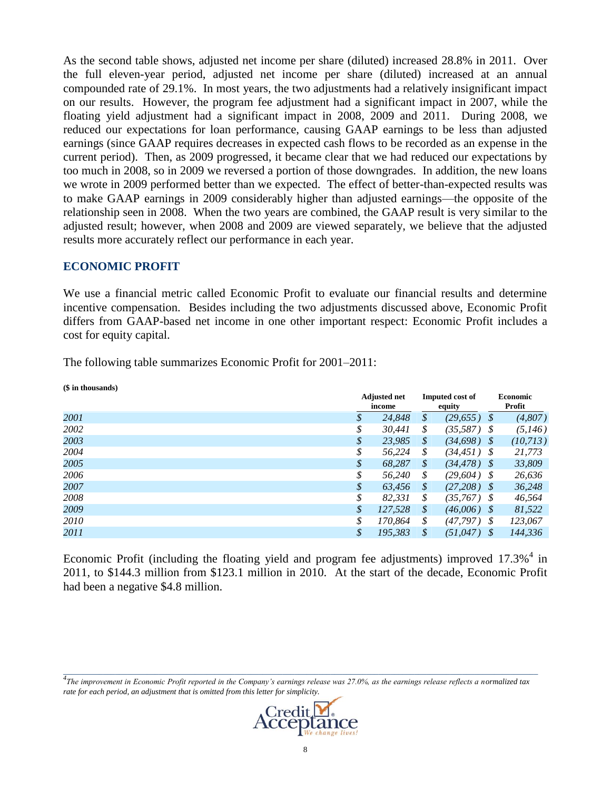As the second table shows, adjusted net income per share (diluted) increased 28.8% in 2011. Over the full eleven-year period, adjusted net income per share (diluted) increased at an annual compounded rate of 29.1%. In most years, the two adjustments had a relatively insignificant impact on our results. However, the program fee adjustment had a significant impact in 2007, while the floating yield adjustment had a significant impact in 2008, 2009 and 2011. During 2008, we reduced our expectations for loan performance, causing GAAP earnings to be less than adjusted earnings (since GAAP requires decreases in expected cash flows to be recorded as an expense in the current period). Then, as 2009 progressed, it became clear that we had reduced our expectations by too much in 2008, so in 2009 we reversed a portion of those downgrades. In addition, the new loans we wrote in 2009 performed better than we expected. The effect of better-than-expected results was to make GAAP earnings in 2009 considerably higher than adjusted earnings—the opposite of the relationship seen in 2008. When the two years are combined, the GAAP result is very similar to the adjusted result; however, when 2008 and 2009 are viewed separately, we believe that the adjusted results more accurately reflect our performance in each year.

### **ECONOMIC PROFIT**

We use a financial metric called Economic Profit to evaluate our financial results and determine incentive compensation. Besides including the two adjustments discussed above, Economic Profit differs from GAAP-based net income in one other important respect: Economic Profit includes a cost for equity capital.

The following table summarizes Economic Profit for 2001–2011:

| (\$ in thousands) |                               |                   |                                  |                           |           |
|-------------------|-------------------------------|-------------------|----------------------------------|---------------------------|-----------|
|                   | <b>Adjusted net</b><br>income |                   | <b>Imputed cost of</b><br>equity | <b>Economic</b><br>Profit |           |
| 2001              | \$<br>24,848                  | $\mathcal{S}_{0}$ | (29, 655)                        | - \$                      | (4,807)   |
| 2002              | \$<br>30,441                  | \$                | $(35,587)$ \$                    |                           | (5, 146)  |
| 2003              | \$<br>23,985                  | \$                | (34, 698)                        | - \$                      | (10, 713) |
| 2004              | \$<br>56,224                  | \$                | $(34, 451)$ \$                   |                           | 21,773    |
| 2005              | \$<br>68.287                  | \$                | (34, 478)                        | - \$                      | 33,809    |
| 2006              | \$<br>56,240                  | \$                | (29,604)                         | - \$                      | 26,636    |
| 2007              | \$<br>63.456                  | \$                | (27,208)                         | - \$                      | 36,248    |
| 2008              | \$<br>82,331                  | \$                | (35, 767)                        | - \$                      | 46,564    |
| 2009              | \$<br>127,528                 | \$                | (46,006)                         | - \$                      | 81,522    |
| 2010              | \$<br>170.864                 | \$                | (47, 797)                        | - \$                      | 123,067   |
| 2011              | \$<br>195.383                 | \$                | (51,047)                         | - \$                      | 144.336   |
|                   |                               |                   |                                  |                           |           |

Economic Profit (including the floating yield and program fee adjustments) improved 17.3%<sup>4</sup> in 2011, to \$144.3 million from \$123.1 million in 2010. At the start of the decade, Economic Profit had been a negative \$4.8 million.

*\_\_\_\_\_\_\_\_\_\_\_\_\_\_\_\_\_\_\_\_\_\_\_\_\_\_\_\_\_\_\_\_\_\_\_\_\_\_\_\_\_\_\_\_\_\_\_\_\_\_\_\_\_\_\_\_\_\_\_\_\_\_\_\_\_\_\_\_\_\_\_\_\_\_\_\_\_\_\_\_\_\_\_\_\_\_\_\_\_\_\_\_\_\_\_\_\_\_\_\_\_\_\_\_\_\_\_\_\_\_\_\_\_\_\_\_\_\_\_ 4 The improvement in Economic Profit reported in the Company's earnings release was 27.0%, as the earnings release reflects a normalized tax rate for each period, an adjustment that is omitted from this letter for simplicity.*

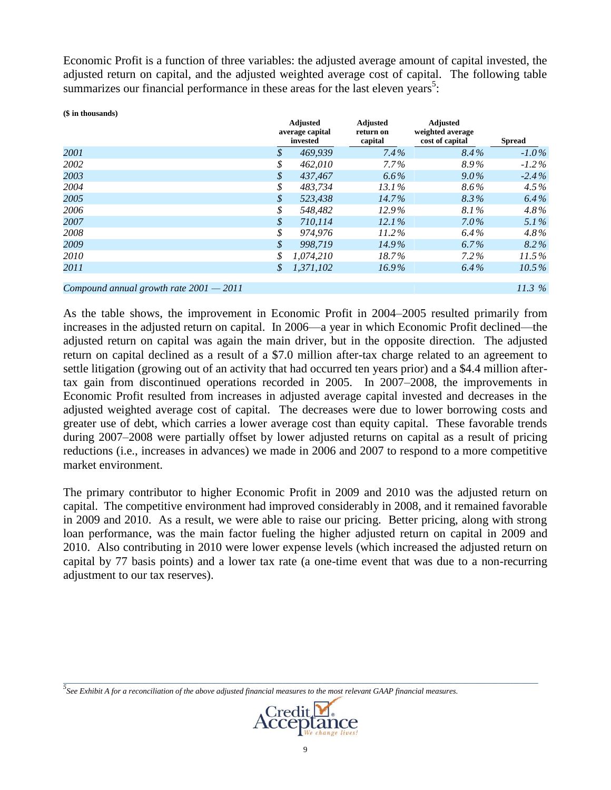Economic Profit is a function of three variables: the adjusted average amount of capital invested, the adjusted return on capital, and the adjusted weighted average cost of capital. The following table summarizes our financial performance in these areas for the last eleven years<sup>5</sup>:

| (\$ in thousands)                         |    |                                                |                                         |                                                        |               |
|-------------------------------------------|----|------------------------------------------------|-----------------------------------------|--------------------------------------------------------|---------------|
|                                           |    | <b>Adjusted</b><br>average capital<br>invested | <b>Adjusted</b><br>return on<br>capital | <b>Adjusted</b><br>weighted average<br>cost of capital | <b>Spread</b> |
| 2001                                      | S  | 469.939                                        | $7.4\%$                                 | $8.4\%$                                                | $-1.0\%$      |
| 2002                                      | \$ | 462.010                                        | $7.7\%$                                 | 8.9%                                                   | $-1.2\%$      |
| 2003                                      | \$ | 437.467                                        | $6.6\%$                                 | $9.0\%$                                                | $-2.4\%$      |
| 2004                                      | \$ | 483.734                                        | $13.1\%$                                | 8.6%                                                   | $4.5\%$       |
| 2005                                      | \$ | 523.438                                        | $14.7\%$                                | 8.3%                                                   | $6.4\%$       |
| 2006                                      | \$ | 548.482                                        | $12.9\%$                                | 8.1%                                                   | $4.8\%$       |
| 2007                                      | \$ | 710.114                                        | $12.1\%$                                | $7.0\%$                                                | 5.1%          |
| 2008                                      | \$ | 974.976                                        | $11.2\%$                                | $6.4\%$                                                | $4.8\%$       |
| 2009                                      | \$ | 998.719                                        | $14.9\%$                                | $6.7\%$                                                | $8.2\%$       |
| 2010                                      | \$ | 1.074.210                                      | 18.7%                                   | $7.2\%$                                                | $11.5\%$      |
| 2011                                      | \$ | 1.371.102                                      | $16.9\%$                                | $6.4\%$                                                | $10.5\%$      |
| Compound annual growth rate $2001 - 2011$ |    |                                                |                                         |                                                        | 11.3%         |

As the table shows, the improvement in Economic Profit in 2004–2005 resulted primarily from increases in the adjusted return on capital. In 2006—a year in which Economic Profit declined—the adjusted return on capital was again the main driver, but in the opposite direction. The adjusted return on capital declined as a result of a \$7.0 million after-tax charge related to an agreement to settle litigation (growing out of an activity that had occurred ten years prior) and a \$4.4 million aftertax gain from discontinued operations recorded in 2005. In 2007–2008, the improvements in Economic Profit resulted from increases in adjusted average capital invested and decreases in the adjusted weighted average cost of capital. The decreases were due to lower borrowing costs and greater use of debt, which carries a lower average cost than equity capital. These favorable trends during 2007–2008 were partially offset by lower adjusted returns on capital as a result of pricing reductions (i.e., increases in advances) we made in 2006 and 2007 to respond to a more competitive market environment.

The primary contributor to higher Economic Profit in 2009 and 2010 was the adjusted return on capital. The competitive environment had improved considerably in 2008, and it remained favorable in 2009 and 2010. As a result, we were able to raise our pricing. Better pricing, along with strong loan performance, was the main factor fueling the higher adjusted return on capital in 2009 and 2010. Also contributing in 2010 were lower expense levels (which increased the adjusted return on capital by 77 basis points) and a lower tax rate (a one-time event that was due to a non-recurring adjustment to our tax reserves).

*5 See Exhibit A for a reconciliation of the above adjusted financial measures to the most relevant GAAP financial measures.*



*\_\_\_\_\_\_\_\_\_\_\_\_\_\_\_\_\_\_\_\_\_\_\_\_\_\_\_\_\_\_\_\_\_\_\_\_\_\_\_\_\_\_\_\_\_\_\_\_\_\_\_\_\_\_\_\_\_\_\_\_\_\_\_\_\_\_\_\_\_\_\_\_\_\_\_\_\_\_\_\_\_\_\_\_\_\_\_\_\_\_\_\_\_\_\_\_\_\_\_\_\_\_\_\_\_\_\_\_\_\_\_\_\_\_\_\_\_\_\_*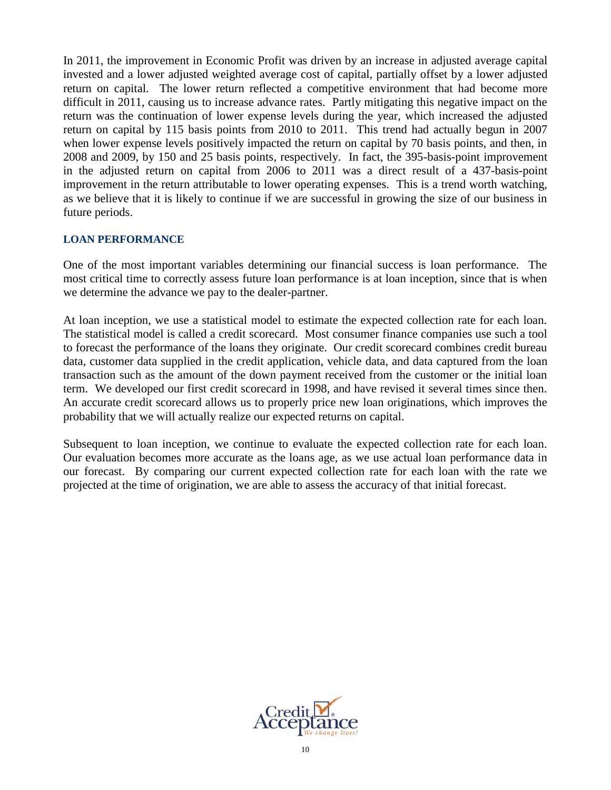In 2011, the improvement in Economic Profit was driven by an increase in adjusted average capital invested and a lower adjusted weighted average cost of capital, partially offset by a lower adjusted return on capital. The lower return reflected a competitive environment that had become more difficult in 2011, causing us to increase advance rates. Partly mitigating this negative impact on the return was the continuation of lower expense levels during the year, which increased the adjusted return on capital by 115 basis points from 2010 to 2011. This trend had actually begun in 2007 when lower expense levels positively impacted the return on capital by 70 basis points, and then, in 2008 and 2009, by 150 and 25 basis points, respectively. In fact, the 395-basis-point improvement in the adjusted return on capital from 2006 to 2011 was a direct result of a 437-basis-point improvement in the return attributable to lower operating expenses. This is a trend worth watching, as we believe that it is likely to continue if we are successful in growing the size of our business in future periods.

### **LOAN PERFORMANCE**

One of the most important variables determining our financial success is loan performance. The most critical time to correctly assess future loan performance is at loan inception, since that is when we determine the advance we pay to the dealer-partner.

At loan inception, we use a statistical model to estimate the expected collection rate for each loan. The statistical model is called a credit scorecard. Most consumer finance companies use such a tool to forecast the performance of the loans they originate. Our credit scorecard combines credit bureau data, customer data supplied in the credit application, vehicle data, and data captured from the loan transaction such as the amount of the down payment received from the customer or the initial loan term. We developed our first credit scorecard in 1998, and have revised it several times since then. An accurate credit scorecard allows us to properly price new loan originations, which improves the probability that we will actually realize our expected returns on capital.

Subsequent to loan inception, we continue to evaluate the expected collection rate for each loan. Our evaluation becomes more accurate as the loans age, as we use actual loan performance data in our forecast. By comparing our current expected collection rate for each loan with the rate we projected at the time of origination, we are able to assess the accuracy of that initial forecast.

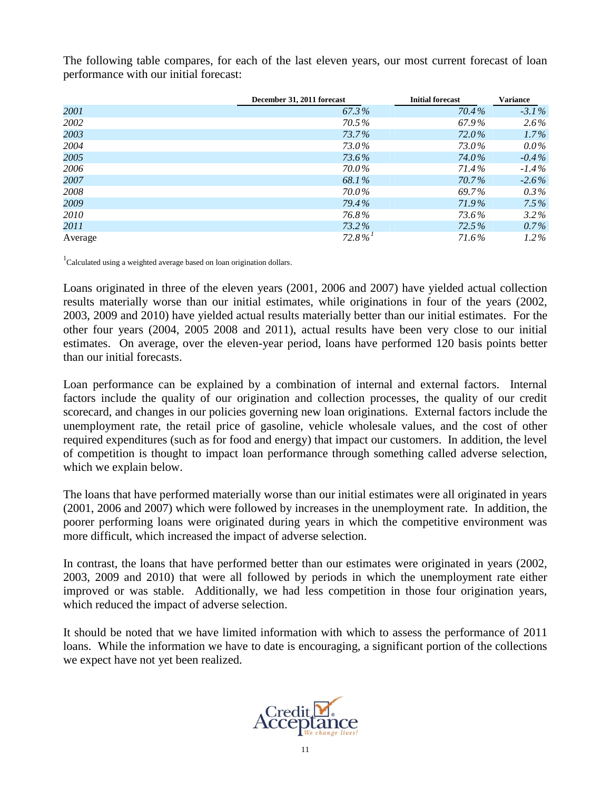The following table compares, for each of the last eleven years, our most current forecast of loan performance with our initial forecast:

|         | December 31, 2011 forecast | <b>Initial forecast</b> | <b>Variance</b> |
|---------|----------------------------|-------------------------|-----------------|
| 2001    | 67.3%                      | 70.4%                   | $-3.1\%$        |
| 2002    | 70.5%                      | 67.9%                   | $2.6\%$         |
| 2003    | 73.7%                      | 72.0%                   | $1.7\%$         |
| 2004    | 73.0%                      | 73.0%                   | $0.0\%$         |
| 2005    | 73.6%                      | 74.0%                   | $-0.4\%$        |
| 2006    | 70.0%                      | 71.4%                   | $-1.4\%$        |
| 2007    | 68.1%                      | 70.7%                   | $-2.6\%$        |
| 2008    | 70.0%                      | 69.7%                   | $0.3\%$         |
| 2009    | 79.4%                      | 71.9%                   | $7.5\%$         |
| 2010    | 76.8%                      | 73.6%                   | $3.2\%$         |
| 2011    | 73.2%                      | 72.5%                   | $0.7\%$         |
| Average | $72.8\%$                   | 71.6%                   | $1.2\%$         |

 $1$ Calculated using a weighted average based on loan origination dollars.

Loans originated in three of the eleven years (2001, 2006 and 2007) have yielded actual collection results materially worse than our initial estimates, while originations in four of the years (2002, 2003, 2009 and 2010) have yielded actual results materially better than our initial estimates. For the other four years (2004, 2005 2008 and 2011), actual results have been very close to our initial estimates. On average, over the eleven-year period, loans have performed 120 basis points better than our initial forecasts.

Loan performance can be explained by a combination of internal and external factors. Internal factors include the quality of our origination and collection processes, the quality of our credit scorecard, and changes in our policies governing new loan originations. External factors include the unemployment rate, the retail price of gasoline, vehicle wholesale values, and the cost of other required expenditures (such as for food and energy) that impact our customers. In addition, the level of competition is thought to impact loan performance through something called adverse selection, which we explain below.

The loans that have performed materially worse than our initial estimates were all originated in years (2001, 2006 and 2007) which were followed by increases in the unemployment rate. In addition, the poorer performing loans were originated during years in which the competitive environment was more difficult, which increased the impact of adverse selection.

In contrast, the loans that have performed better than our estimates were originated in years (2002, 2003, 2009 and 2010) that were all followed by periods in which the unemployment rate either improved or was stable. Additionally, we had less competition in those four origination years, which reduced the impact of adverse selection.

It should be noted that we have limited information with which to assess the performance of 2011 loans. While the information we have to date is encouraging, a significant portion of the collections we expect have not yet been realized.

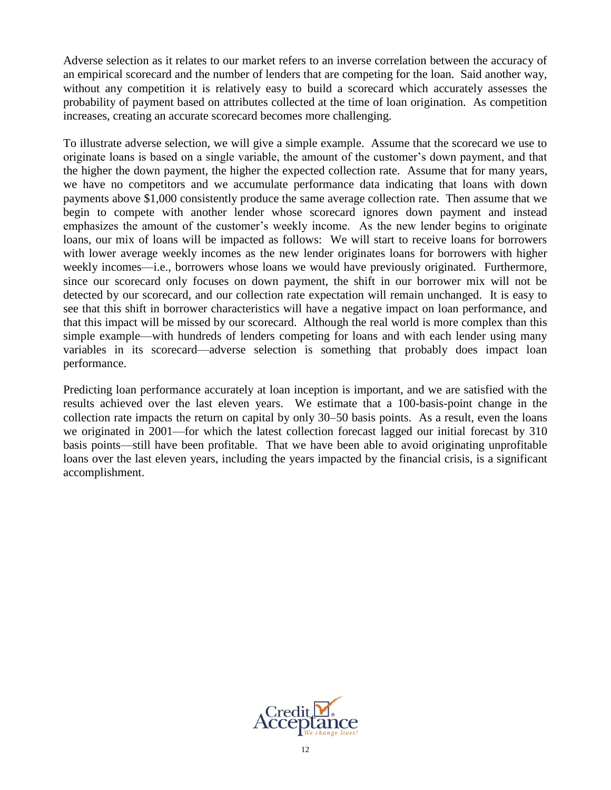Adverse selection as it relates to our market refers to an inverse correlation between the accuracy of an empirical scorecard and the number of lenders that are competing for the loan. Said another way, without any competition it is relatively easy to build a scorecard which accurately assesses the probability of payment based on attributes collected at the time of loan origination. As competition increases, creating an accurate scorecard becomes more challenging.

To illustrate adverse selection, we will give a simple example. Assume that the scorecard we use to originate loans is based on a single variable, the amount of the customer's down payment, and that the higher the down payment, the higher the expected collection rate. Assume that for many years, we have no competitors and we accumulate performance data indicating that loans with down payments above \$1,000 consistently produce the same average collection rate. Then assume that we begin to compete with another lender whose scorecard ignores down payment and instead emphasizes the amount of the customer's weekly income. As the new lender begins to originate loans, our mix of loans will be impacted as follows: We will start to receive loans for borrowers with lower average weekly incomes as the new lender originates loans for borrowers with higher weekly incomes—i.e., borrowers whose loans we would have previously originated. Furthermore, since our scorecard only focuses on down payment, the shift in our borrower mix will not be detected by our scorecard, and our collection rate expectation will remain unchanged. It is easy to see that this shift in borrower characteristics will have a negative impact on loan performance, and that this impact will be missed by our scorecard. Although the real world is more complex than this simple example—with hundreds of lenders competing for loans and with each lender using many variables in its scorecard—adverse selection is something that probably does impact loan performance.

Predicting loan performance accurately at loan inception is important, and we are satisfied with the results achieved over the last eleven years. We estimate that a 100-basis-point change in the collection rate impacts the return on capital by only 30–50 basis points. As a result, even the loans we originated in 2001—for which the latest collection forecast lagged our initial forecast by 310 basis points—still have been profitable. That we have been able to avoid originating unprofitable loans over the last eleven years, including the years impacted by the financial crisis, is a significant accomplishment.

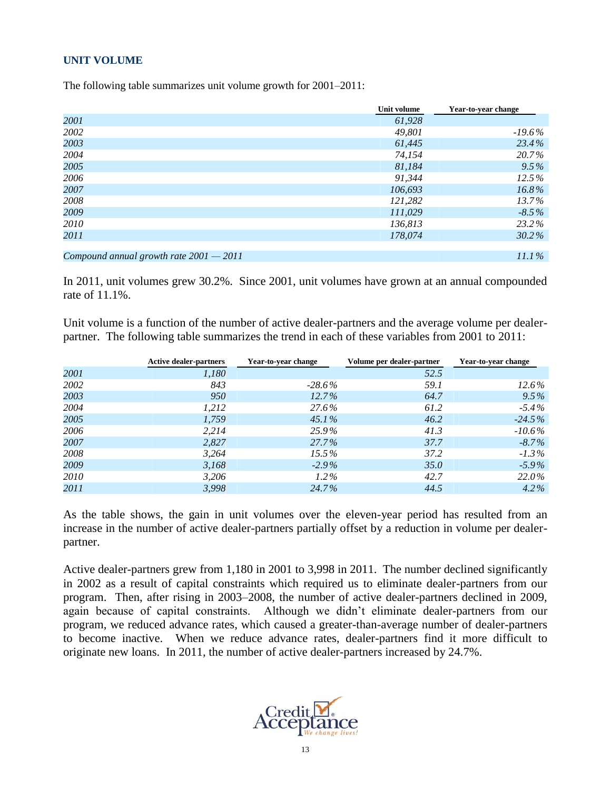### **UNIT VOLUME**

The following table summarizes unit volume growth for 2001–2011:

|                                           | Unit volume | Year-to-year change |
|-------------------------------------------|-------------|---------------------|
| 2001                                      | 61,928      |                     |
| 2002                                      | 49,801      | $-19.6\%$           |
| 2003                                      | 61,445      | 23.4%               |
| 2004                                      | 74,154      | 20.7%               |
| 2005                                      | 81,184      | $9.5\%$             |
| 2006                                      | 91.344      | 12.5%               |
| 2007                                      | 106,693     | $16.8\%$            |
| 2008                                      | 121,282     | 13.7%               |
| 2009                                      | 111,029     | $-8.5\%$            |
| 2010                                      | 136,813     | 23.2%               |
| 2011                                      | 178,074     | $30.2\%$            |
|                                           |             |                     |
| Compound annual growth rate $2001 - 2011$ |             | $11.1\%$            |

In 2011, unit volumes grew 30.2%. Since 2001, unit volumes have grown at an annual compounded rate of 11.1%.

Unit volume is a function of the number of active dealer-partners and the average volume per dealerpartner. The following table summarizes the trend in each of these variables from 2001 to 2011:

|      | <b>Active dealer-partners</b> | Year-to-vear change | Volume per dealer-partner | Year-to-year change |
|------|-------------------------------|---------------------|---------------------------|---------------------|
| 2001 | 1,180                         |                     | 52.5                      |                     |
| 2002 | 843                           | $-28.6\%$           | 59.1                      | 12.6%               |
| 2003 | 950                           | $12.7\%$            | 64.7                      | $9.5\%$             |
| 2004 | 1,212                         | 27.6%               | 61.2                      | $-5.4\%$            |
| 2005 | 1,759                         | $45.1\%$            | 46.2                      | $-24.5\%$           |
| 2006 | 2,214                         | 25.9%               | 41.3                      | $-10.6\%$           |
| 2007 | 2,827                         | 27.7%               | 37.7                      | $-8.7\%$            |
| 2008 | 3,264                         | $15.5\%$            | 37.2                      | $-1.3\%$            |
| 2009 | 3,168                         | $-2.9\%$            | 35.0                      | $-5.9\%$            |
| 2010 | 3,206                         | $1.2\%$             | 42.7                      | 22.0%               |
| 2011 | 3,998                         | 24.7%               | 44.5                      | $4.2\%$             |

As the table shows, the gain in unit volumes over the eleven-year period has resulted from an increase in the number of active dealer-partners partially offset by a reduction in volume per dealerpartner.

Active dealer-partners grew from 1,180 in 2001 to 3,998 in 2011. The number declined significantly in 2002 as a result of capital constraints which required us to eliminate dealer-partners from our program. Then, after rising in 2003–2008, the number of active dealer-partners declined in 2009, again because of capital constraints. Although we didn't eliminate dealer-partners from our program, we reduced advance rates, which caused a greater-than-average number of dealer-partners to become inactive. When we reduce advance rates, dealer-partners find it more difficult to originate new loans. In 2011, the number of active dealer-partners increased by 24.7%.

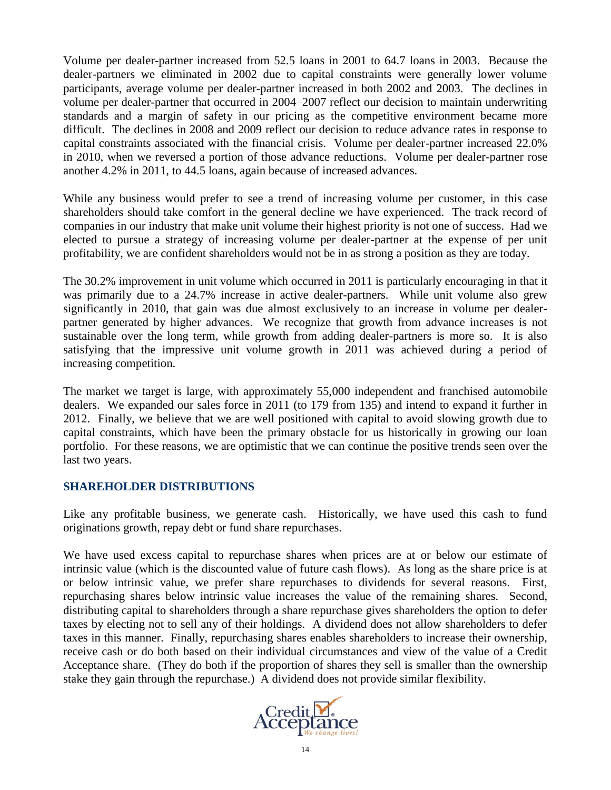Volume per dealer-partner increased from 52.5 loans in 2001 to 64.7 loans in 2003. Because the dealer-partners we eliminated in 2002 due to capital constraints were generally lower volume participants, average volume per dealer-partner increased in both 2002 and 2003. The declines in volume per dealer-partner that occurred in 2004–2007 reflect our decision to maintain underwriting standards and a margin of safety in our pricing as the competitive environment became more difficult. The declines in 2008 and 2009 reflect our decision to reduce advance rates in response to capital constraints associated with the financial crisis. Volume per dealer-partner increased 22.0% in 2010, when we reversed a portion of those advance reductions. Volume per dealer-partner rose another 4.2% in 2011, to 44.5 loans, again because of increased advances.

While any business would prefer to see a trend of increasing volume per customer, in this case shareholders should take comfort in the general decline we have experienced. The track record of companies in our industry that make unit volume their highest priority is not one of success. Had we elected to pursue a strategy of increasing volume per dealer-partner at the expense of per unit profitability, we are confident shareholders would not be in as strong a position as they are today.

The 30.2% improvement in unit volume which occurred in 2011 is particularly encouraging in that it was primarily due to a 24.7% increase in active dealer-partners. While unit volume also grew significantly in 2010, that gain was due almost exclusively to an increase in volume per dealerpartner generated by higher advances. We recognize that growth from advance increases is not sustainable over the long term, while growth from adding dealer-partners is more so. It is also satisfying that the impressive unit volume growth in 2011 was achieved during a period of increasing competition.

The market we target is large, with approximately 55,000 independent and franchised automobile dealers. We expanded our sales force in 2011 (to 179 from 135) and intend to expand it further in 2012. Finally, we believe that we are well positioned with capital to avoid slowing growth due to capital constraints, which have been the primary obstacle for us historically in growing our loan portfolio. For these reasons, we are optimistic that we can continue the positive trends seen over the last two years.

### **SHAREHOLDER DISTRIBUTIONS**

Like any profitable business, we generate cash. Historically, we have used this cash to fund originations growth, repay debt or fund share repurchases.

We have used excess capital to repurchase shares when prices are at or below our estimate of intrinsic value (which is the discounted value of future cash flows). As long as the share price is at or below intrinsic value, we prefer share repurchases to dividends for several reasons. First, repurchasing shares below intrinsic value increases the value of the remaining shares. Second, distributing capital to shareholders through a share repurchase gives shareholders the option to defer taxes by electing not to sell any of their holdings. A dividend does not allow shareholders to defer taxes in this manner. Finally, repurchasing shares enables shareholders to increase their ownership, receive cash or do both based on their individual circumstances and view of the value of a Credit Acceptance share. (They do both if the proportion of shares they sell is smaller than the ownership stake they gain through the repurchase.) A dividend does not provide similar flexibility.

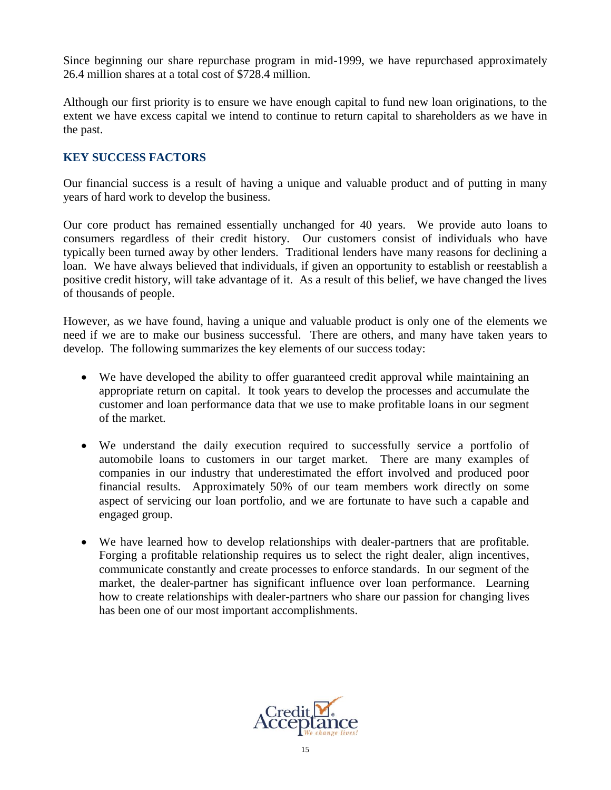Since beginning our share repurchase program in mid-1999, we have repurchased approximately 26.4 million shares at a total cost of \$728.4 million.

Although our first priority is to ensure we have enough capital to fund new loan originations, to the extent we have excess capital we intend to continue to return capital to shareholders as we have in the past.

### **KEY SUCCESS FACTORS**

Our financial success is a result of having a unique and valuable product and of putting in many years of hard work to develop the business.

Our core product has remained essentially unchanged for 40 years. We provide auto loans to consumers regardless of their credit history. Our customers consist of individuals who have typically been turned away by other lenders. Traditional lenders have many reasons for declining a loan. We have always believed that individuals, if given an opportunity to establish or reestablish a positive credit history, will take advantage of it. As a result of this belief, we have changed the lives of thousands of people.

However, as we have found, having a unique and valuable product is only one of the elements we need if we are to make our business successful. There are others, and many have taken years to develop. The following summarizes the key elements of our success today:

- We have developed the ability to offer guaranteed credit approval while maintaining an appropriate return on capital. It took years to develop the processes and accumulate the customer and loan performance data that we use to make profitable loans in our segment of the market.
- We understand the daily execution required to successfully service a portfolio of automobile loans to customers in our target market. There are many examples of companies in our industry that underestimated the effort involved and produced poor financial results. Approximately 50% of our team members work directly on some aspect of servicing our loan portfolio, and we are fortunate to have such a capable and engaged group.
- We have learned how to develop relationships with dealer-partners that are profitable. Forging a profitable relationship requires us to select the right dealer, align incentives, communicate constantly and create processes to enforce standards. In our segment of the market, the dealer-partner has significant influence over loan performance. Learning how to create relationships with dealer-partners who share our passion for changing lives has been one of our most important accomplishments.

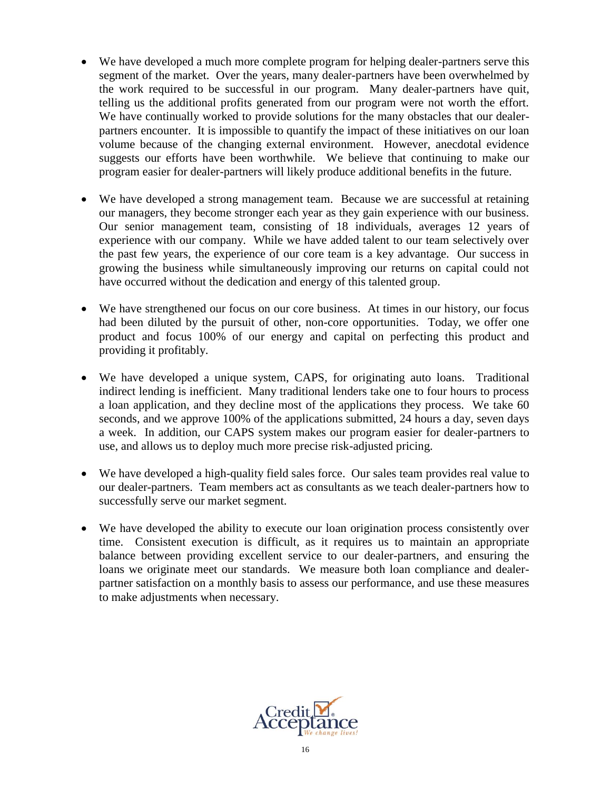- We have developed a much more complete program for helping dealer-partners serve this segment of the market. Over the years, many dealer-partners have been overwhelmed by the work required to be successful in our program. Many dealer-partners have quit, telling us the additional profits generated from our program were not worth the effort. We have continually worked to provide solutions for the many obstacles that our dealerpartners encounter. It is impossible to quantify the impact of these initiatives on our loan volume because of the changing external environment. However, anecdotal evidence suggests our efforts have been worthwhile. We believe that continuing to make our program easier for dealer-partners will likely produce additional benefits in the future.
- We have developed a strong management team. Because we are successful at retaining our managers, they become stronger each year as they gain experience with our business. Our senior management team, consisting of 18 individuals, averages 12 years of experience with our company. While we have added talent to our team selectively over the past few years, the experience of our core team is a key advantage. Our success in growing the business while simultaneously improving our returns on capital could not have occurred without the dedication and energy of this talented group.
- We have strengthened our focus on our core business. At times in our history, our focus had been diluted by the pursuit of other, non-core opportunities. Today, we offer one product and focus 100% of our energy and capital on perfecting this product and providing it profitably.
- We have developed a unique system, CAPS, for originating auto loans. Traditional indirect lending is inefficient. Many traditional lenders take one to four hours to process a loan application, and they decline most of the applications they process. We take 60 seconds, and we approve 100% of the applications submitted, 24 hours a day, seven days a week. In addition, our CAPS system makes our program easier for dealer-partners to use, and allows us to deploy much more precise risk-adjusted pricing.
- We have developed a high-quality field sales force. Our sales team provides real value to our dealer-partners. Team members act as consultants as we teach dealer-partners how to successfully serve our market segment.
- We have developed the ability to execute our loan origination process consistently over time. Consistent execution is difficult, as it requires us to maintain an appropriate balance between providing excellent service to our dealer-partners, and ensuring the loans we originate meet our standards. We measure both loan compliance and dealerpartner satisfaction on a monthly basis to assess our performance, and use these measures to make adjustments when necessary.

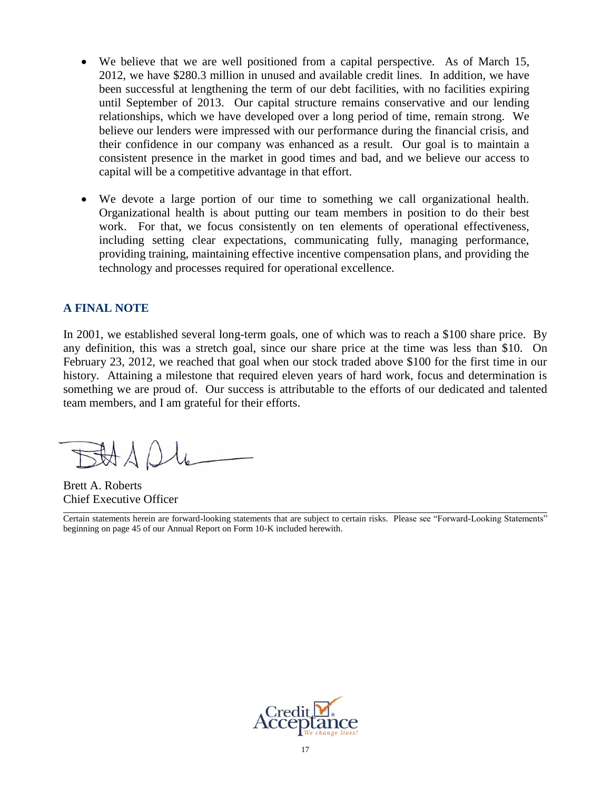- We believe that we are well positioned from a capital perspective. As of March 15, 2012, we have \$280.3 million in unused and available credit lines. In addition, we have been successful at lengthening the term of our debt facilities, with no facilities expiring until September of 2013. Our capital structure remains conservative and our lending relationships, which we have developed over a long period of time, remain strong. We believe our lenders were impressed with our performance during the financial crisis, and their confidence in our company was enhanced as a result. Our goal is to maintain a consistent presence in the market in good times and bad, and we believe our access to capital will be a competitive advantage in that effort.
- We devote a large portion of our time to something we call organizational health. Organizational health is about putting our team members in position to do their best work. For that, we focus consistently on ten elements of operational effectiveness, including setting clear expectations, communicating fully, managing performance, providing training, maintaining effective incentive compensation plans, and providing the technology and processes required for operational excellence.

### **A FINAL NOTE**

In 2001, we established several long-term goals, one of which was to reach a \$100 share price. By any definition, this was a stretch goal, since our share price at the time was less than \$10. On February 23, 2012, we reached that goal when our stock traded above \$100 for the first time in our history. Attaining a milestone that required eleven years of hard work, focus and determination is something we are proud of. Our success is attributable to the efforts of our dedicated and talented team members, and I am grateful for their efforts.

BAAD

Brett A. Roberts Chief Executive Officer

Certain statements herein are forward-looking statements that are subject to certain risks. Please see "Forward-Looking Statements" beginning on page 45 of our Annual Report on Form 10-K included herewith.

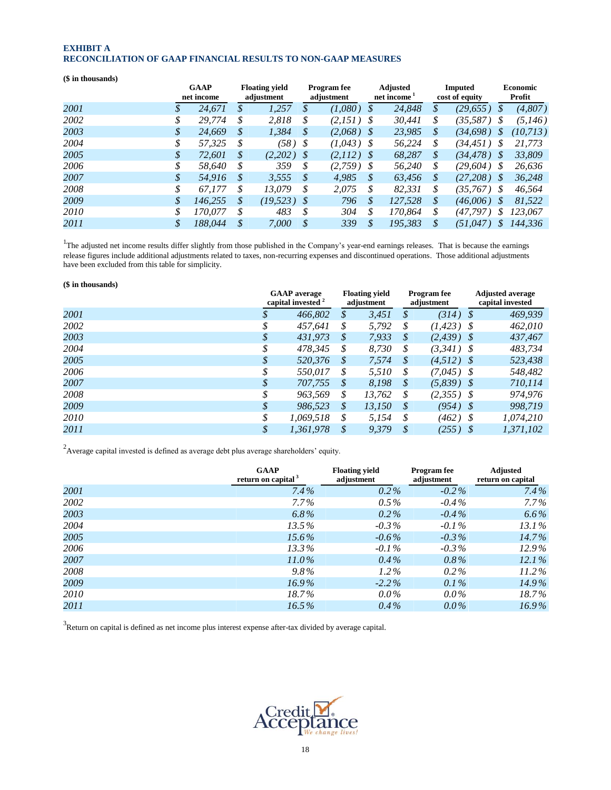#### **EXHIBIT A RECONCILIATION OF GAAP FINANCIAL RESULTS TO NON-GAAP MEASURES**

| (\$ in thousands) |                           |                                     |               |                                  |               |                                            |                                  |           |          |                           |
|-------------------|---------------------------|-------------------------------------|---------------|----------------------------------|---------------|--------------------------------------------|----------------------------------|-----------|----------|---------------------------|
|                   | <b>GAAP</b><br>net income | <b>Floating yield</b><br>adjustment |               | <b>Program</b> fee<br>adjustment |               | <b>Adjusted</b><br>net income <sup>1</sup> | <b>Imputed</b><br>cost of equity |           |          | <b>Economic</b><br>Profit |
| 2001              | \$<br>24,671              | \$<br>1,257                         | \$            | (1,080)                          | \$            | 24,848                                     | \$                               | (29, 655) | S        | (4,807)                   |
| 2002              | \$<br>29.774              | \$<br>2,818                         | \$            | (2,151)                          | - \$          | 30,441                                     | \$                               | (35,587)  | S        | (5.146)                   |
| 2003              | \$<br>24.669              | \$<br>1,384                         | \$            | $(2,068)$ \$                     |               | 23,985                                     | \$                               | (34.698)  | S        | (10,713)                  |
| 2004              | \$<br>57.325              | \$<br>(58)                          | - \$          | $(1.043)$ \$                     |               | 56,224                                     | \$                               | (34.451)  | S        | 21.773                    |
| 2005              | \$<br>72.601              | \$<br>(2,202)                       | -\$           | (2,112)                          | - S           | 68,287                                     | \$                               | (34, 478) | <b>S</b> | 33,809                    |
| 2006              | \$<br>58.640              | \$<br>359                           | \$            | (2,759)                          | - \$          | 56,240                                     | \$                               | (29,604)  | S        | 26.636                    |
| 2007              | \$<br>54.916              | \$<br>3.555                         | <i>S</i>      | 4.985                            | S             | 63.456                                     | \$                               | (27,208)  | S        | 36.248                    |
| 2008              | \$<br>67.177              | \$<br>13.079                        | \$            | 2,075                            | \$            | 82,331                                     | \$                               | (35,767)  | S        | 46,564                    |
| 2009              | \$<br>146.255             | \$<br>(19, 523)                     | S             | 796                              | $\mathcal{S}$ | 127,528                                    | \$                               | (46,006)  | \$       | 81,522                    |
| 2010              | \$<br>170.077             | \$<br>483                           | \$            | 304                              | \$            | 170.864                                    | \$                               | (47.797)  | \$       | 123.067                   |
| 2011              | \$<br>188.044             | \$<br>7.000                         | $\mathcal{S}$ | 339                              | $\mathcal{S}$ | 195.383                                    | \$                               | (51.047)  | S        | 144.336                   |

<sup>1</sup>The adjusted net income results differ slightly from those published in the Company's year-end earnings releases. That is because the earnings release figures include additional adjustments related to taxes, non-recurring expenses and discontinued operations. Those additional adjustments have been excluded from this table for simplicity.

#### **(\$ in thousands)**

|      | <b>GAAP</b> average<br>capital invested <sup>2</sup> |               | <b>Floating vield</b><br>adjustment |               | <b>Program</b> fee<br>adjustment | <b>Adjusted average</b><br>capital invested |           |  |
|------|------------------------------------------------------|---------------|-------------------------------------|---------------|----------------------------------|---------------------------------------------|-----------|--|
| 2001 | 466,802                                              | \$            | 3,451                               | S             | $(314)$ \$                       |                                             | 469,939   |  |
| 2002 | \$<br>457.641                                        | \$            | 5,792                               | \$            | $(1, 423)$ \$                    |                                             | 462,010   |  |
| 2003 | \$<br>431,973                                        | \$            | 7,933                               | S             | $(2,439)$ \$                     |                                             | 437,467   |  |
| 2004 | \$<br>478.345                                        | \$            | 8.730                               | S             | $(3,341)$ \$                     |                                             | 483.734   |  |
| 2005 | \$<br>520,376                                        | \$            | 7,574                               | S             | $(4.512)$ \$                     |                                             | 523,438   |  |
| 2006 | \$<br>550.017                                        | S             | 5.510                               | S             | $(7.045)$ \$                     |                                             | 548,482   |  |
| 2007 | \$<br>707,755                                        | \$            | 8,198                               | S             | $(5,839)$ \$                     |                                             | 710,114   |  |
| 2008 | \$<br>963.569                                        | \$            | 13,762                              | S             | $(2,355)$ \$                     |                                             | 974,976   |  |
| 2009 | \$<br>986,523                                        | $\mathcal{S}$ | 13,150                              | $\mathcal{S}$ | $(954)$ \$                       |                                             | 998.719   |  |
| 2010 | \$<br>1,069,518                                      | \$            | 5,154                               | S             | $(462)$ \$                       |                                             | 1,074,210 |  |
| 2011 | \$<br>1,361,978                                      | $\mathcal{S}$ | 9,379                               | $\mathcal{S}$ | $(255)$ \$                       |                                             | 1,371,102 |  |

 $2A$ verage capital invested is defined as average debt plus average shareholders' equity.

|      | <b>GAAP</b><br>return on capital <sup>3</sup> | <b>Floating vield</b><br>adjustment | <b>Program</b> fee<br>adjustment | <b>Adjusted</b><br>return on capital |
|------|-----------------------------------------------|-------------------------------------|----------------------------------|--------------------------------------|
| 2001 | $7.4\%$                                       | $0.2\%$                             | $-0.2\%$                         | $7.4\%$                              |
| 2002 | $7.7\%$                                       | $0.5\%$                             | $-0.4\%$                         | $7.7\%$                              |
| 2003 | 6.8%                                          | $0.2\%$                             | $-0.4\%$                         | $6.6\%$                              |
| 2004 | 13.5%                                         | $-0.3\%$                            | $-0.1\%$                         | $13.1\%$                             |
| 2005 | $15.6\%$                                      | $-0.6\%$                            | $-0.3\%$                         | $14.7\%$                             |
| 2006 | $13.3\%$                                      | $-0.1\%$                            | $-0.3\%$                         | $12.9\%$                             |
| 2007 | $11.0\%$                                      | $0.4\%$                             | $0.8\%$                          | 12.1%                                |
| 2008 | $9.8\%$                                       | $1.2\%$                             | $0.2\%$                          | $11.2\%$                             |
| 2009 | $16.9\%$                                      | $-2.2\%$                            | $0.1\%$                          | $14.9\%$                             |
| 2010 | $18.7\%$                                      | $0.0\%$                             | $0.0\%$                          | $18.7\%$                             |
| 2011 | $16.5\%$                                      | $0.4\%$                             | $0.0\%$                          | $16.9\%$                             |

 $3$ Return on capital is defined as net income plus interest expense after-tax divided by average capital.